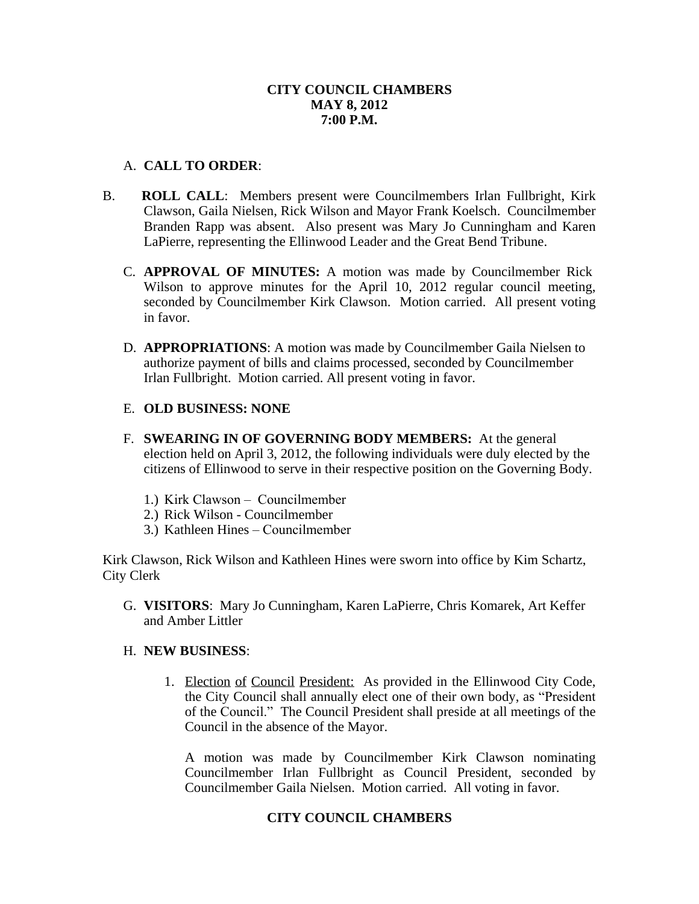## **CITY COUNCIL CHAMBERS MAY 8, 2012 7:00 P.M.**

## A. **CALL TO ORDER**:

- B. **ROLL CALL**: Members present were Councilmembers Irlan Fullbright, Kirk Clawson, Gaila Nielsen, Rick Wilson and Mayor Frank Koelsch. Councilmember Branden Rapp was absent. Also present was Mary Jo Cunningham and Karen LaPierre, representing the Ellinwood Leader and the Great Bend Tribune.
	- C. **APPROVAL OF MINUTES:** A motion was made by Councilmember Rick Wilson to approve minutes for the April 10, 2012 regular council meeting, seconded by Councilmember Kirk Clawson. Motion carried. All present voting in favor.
	- D. **APPROPRIATIONS**: A motion was made by Councilmember Gaila Nielsen to authorize payment of bills and claims processed, seconded by Councilmember Irlan Fullbright. Motion carried. All present voting in favor.

## E. **OLD BUSINESS: NONE**

- F. **SWEARING IN OF GOVERNING BODY MEMBERS:** At the general election held on April 3, 2012, the following individuals were duly elected by the citizens of Ellinwood to serve in their respective position on the Governing Body.
	- 1.) Kirk Clawson Councilmember
	- 2.) Rick Wilson Councilmember
	- 3.) Kathleen Hines Councilmember

Kirk Clawson, Rick Wilson and Kathleen Hines were sworn into office by Kim Schartz, City Clerk

G. **VISITORS**: Mary Jo Cunningham, Karen LaPierre, Chris Komarek, Art Keffer and Amber Littler

### H. **NEW BUSINESS**:

1. Election of Council President: As provided in the Ellinwood City Code, the City Council shall annually elect one of their own body, as "President of the Council." The Council President shall preside at all meetings of the Council in the absence of the Mayor.

A motion was made by Councilmember Kirk Clawson nominating Councilmember Irlan Fullbright as Council President, seconded by Councilmember Gaila Nielsen. Motion carried. All voting in favor.

# **CITY COUNCIL CHAMBERS**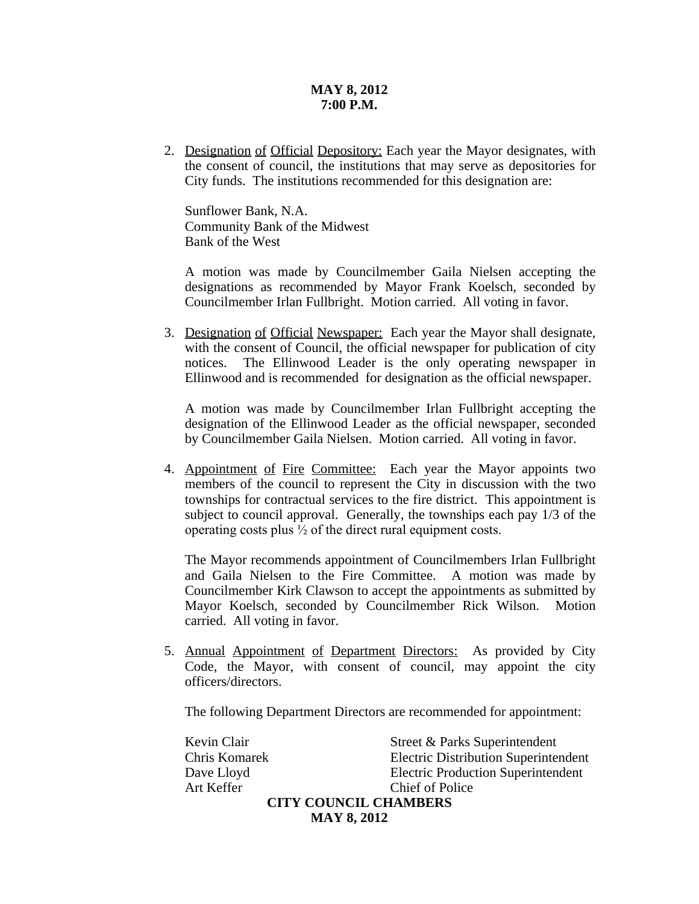## **MAY 8, 2012 7:00 P.M.**

2. Designation of Official Depository: Each year the Mayor designates, with the consent of council, the institutions that may serve as depositories for City funds. The institutions recommended for this designation are:

Sunflower Bank, N.A. Community Bank of the Midwest Bank of the West

A motion was made by Councilmember Gaila Nielsen accepting the designations as recommended by Mayor Frank Koelsch, seconded by Councilmember Irlan Fullbright. Motion carried. All voting in favor.

3. Designation of Official Newspaper: Each year the Mayor shall designate, with the consent of Council, the official newspaper for publication of city notices. The Ellinwood Leader is the only operating newspaper in Ellinwood and is recommended for designation as the official newspaper.

A motion was made by Councilmember Irlan Fullbright accepting the designation of the Ellinwood Leader as the official newspaper, seconded by Councilmember Gaila Nielsen. Motion carried. All voting in favor.

4. Appointment of Fire Committee: Each year the Mayor appoints two members of the council to represent the City in discussion with the two townships for contractual services to the fire district. This appointment is subject to council approval. Generally, the townships each pay 1/3 of the operating costs plus ½ of the direct rural equipment costs.

The Mayor recommends appointment of Councilmembers Irlan Fullbright and Gaila Nielsen to the Fire Committee. A motion was made by Councilmember Kirk Clawson to accept the appointments as submitted by Mayor Koelsch, seconded by Councilmember Rick Wilson. Motion carried. All voting in favor.

5. Annual Appointment of Department Directors: As provided by City Code, the Mayor, with consent of council, may appoint the city officers/directors.

The following Department Directors are recommended for appointment:

Kevin Clair Street & Parks Superintendent Chris Komarek Electric Distribution Superintendent Dave Lloyd Electric Production Superintendent Art Keffer Chief of Police **CITY COUNCIL CHAMBERS** 

**MAY 8, 2012**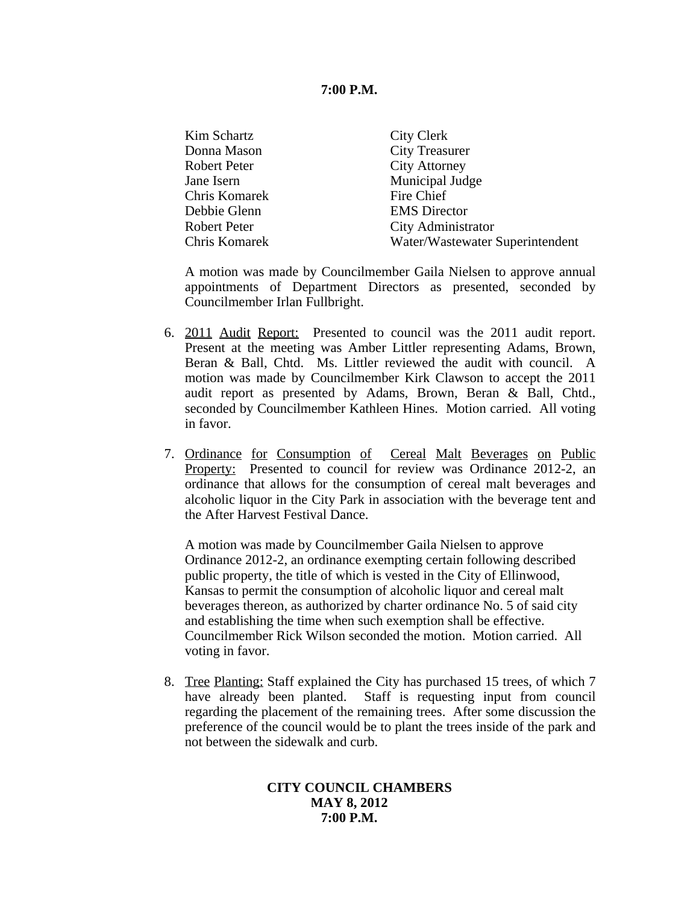### **7:00 P.M.**

| Kim Schartz   | City Clerk                      |
|---------------|---------------------------------|
| Donna Mason   | <b>City Treasurer</b>           |
| Robert Peter  | <b>City Attorney</b>            |
| Jane Isern    | Municipal Judge                 |
| Chris Komarek | Fire Chief                      |
| Debbie Glenn  | <b>EMS</b> Director             |
| Robert Peter  | City Administrator              |
| Chris Komarek | Water/Wastewater Superintendent |
|               |                                 |

A motion was made by Councilmember Gaila Nielsen to approve annual appointments of Department Directors as presented, seconded by Councilmember Irlan Fullbright.

- 6. 2011 Audit Report: Presented to council was the 2011 audit report. Present at the meeting was Amber Littler representing Adams, Brown, Beran & Ball, Chtd. Ms. Littler reviewed the audit with council. A motion was made by Councilmember Kirk Clawson to accept the 2011 audit report as presented by Adams, Brown, Beran & Ball, Chtd., seconded by Councilmember Kathleen Hines. Motion carried. All voting in favor.
- 7. Ordinance for Consumption of Cereal Malt Beverages on Public Property: Presented to council for review was Ordinance 2012-2, an ordinance that allows for the consumption of cereal malt beverages and alcoholic liquor in the City Park in association with the beverage tent and the After Harvest Festival Dance.

A motion was made by Councilmember Gaila Nielsen to approve Ordinance 2012-2, an ordinance exempting certain following described public property, the title of which is vested in the City of Ellinwood, Kansas to permit the consumption of alcoholic liquor and cereal malt beverages thereon, as authorized by charter ordinance No. 5 of said city and establishing the time when such exemption shall be effective. Councilmember Rick Wilson seconded the motion. Motion carried. All voting in favor.

8. Tree Planting: Staff explained the City has purchased 15 trees, of which 7 have already been planted. Staff is requesting input from council regarding the placement of the remaining trees. After some discussion the preference of the council would be to plant the trees inside of the park and not between the sidewalk and curb.

## **CITY COUNCIL CHAMBERS MAY 8, 2012 7:00 P.M.**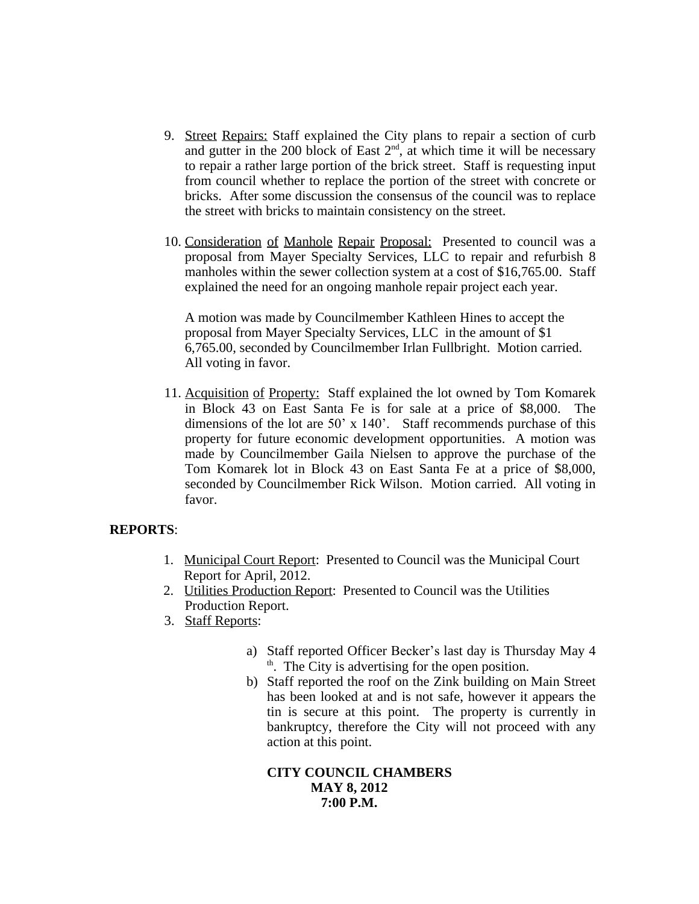- 9. Street Repairs: Staff explained the City plans to repair a section of curb and gutter in the 200 block of East  $2<sup>nd</sup>$ , at which time it will be necessary to repair a rather large portion of the brick street. Staff is requesting input from council whether to replace the portion of the street with concrete or bricks. After some discussion the consensus of the council was to replace the street with bricks to maintain consistency on the street.
- 10. Consideration of Manhole Repair Proposal: Presented to council was a proposal from Mayer Specialty Services, LLC to repair and refurbish 8 manholes within the sewer collection system at a cost of \$16,765.00. Staff explained the need for an ongoing manhole repair project each year.

A motion was made by Councilmember Kathleen Hines to accept the proposal from Mayer Specialty Services, LLC in the amount of \$1 6,765.00, seconded by Councilmember Irlan Fullbright. Motion carried. All voting in favor.

11. Acquisition of Property: Staff explained the lot owned by Tom Komarek in Block 43 on East Santa Fe is for sale at a price of \$8,000. The dimensions of the lot are 50' x 140'. Staff recommends purchase of this property for future economic development opportunities. A motion was made by Councilmember Gaila Nielsen to approve the purchase of the Tom Komarek lot in Block 43 on East Santa Fe at a price of \$8,000, seconded by Councilmember Rick Wilson. Motion carried. All voting in favor.

## **REPORTS**:

- 1. Municipal Court Report: Presented to Council was the Municipal Court Report for April, 2012.
- 2. Utilities Production Report: Presented to Council was the Utilities Production Report.
- 3. Staff Reports:
	- a) Staff reported Officer Becker's last day is Thursday May 4 th. The City is advertising for the open position.
	- b) Staff reported the roof on the Zink building on Main Street has been looked at and is not safe, however it appears the tin is secure at this point. The property is currently in bankruptcy, therefore the City will not proceed with any action at this point.

**CITY COUNCIL CHAMBERS MAY 8, 2012 7:00 P.M.**